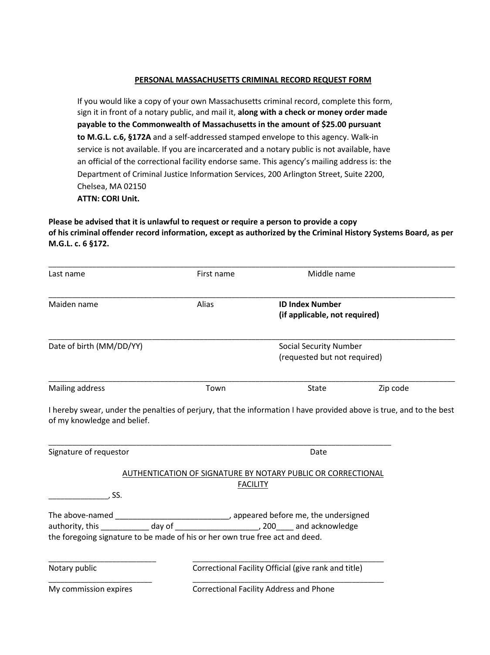#### **PERSONAL MASSACHUSETTS CRIMINAL RECORD REQUEST FORM**

If you would like a copy of your own Massachusetts criminal record, complete this form, sign it in front of a notary public, and mail it, **along with a check or money order made payable to the Commonwealth of Massachusetts in the amount of \$25.00 pursuant to M.G.L. c.6, §172A** and a self-addressed stamped envelope to this agency. Walk-in service is not available. If you are incarcerated and a notary public is not available, have an official of the correctional facility endorse same. This agency's mailing address is: the Department of Criminal Justice Information Services, 200 Arlington Street, Suite 2200, Chelsea, MA 02150 **ATTN: CORI Unit.**

**Please be advised that it is unlawful to request or require a person to provide a copy of his criminal offender record information, except as authorized by the Criminal History Systems Board, as per M.G.L. c. 6 §172.**

| Last name                                                                                                                                                                                                                                                          | First name                                                                      | Middle name                                                   |          |
|--------------------------------------------------------------------------------------------------------------------------------------------------------------------------------------------------------------------------------------------------------------------|---------------------------------------------------------------------------------|---------------------------------------------------------------|----------|
| Maiden name                                                                                                                                                                                                                                                        | Alias                                                                           | <b>ID Index Number</b><br>(if applicable, not required)       |          |
| Date of birth (MM/DD/YY)                                                                                                                                                                                                                                           |                                                                                 | <b>Social Security Number</b><br>(requested but not required) |          |
| Mailing address                                                                                                                                                                                                                                                    | Town                                                                            | <b>State</b>                                                  | Zip code |
| I hereby swear, under the penalties of perjury, that the information I have provided above is true, and to the best<br>of my knowledge and belief.<br>Signature of requestor                                                                                       |                                                                                 | Date                                                          |          |
| , SS.                                                                                                                                                                                                                                                              | AUTHENTICATION OF SIGNATURE BY NOTARY PUBLIC OR CORRECTIONAL<br><b>FACILITY</b> |                                                               |          |
| The above-named _________________________________, appeared before me, the undersigned<br>authority, this _____________ day of _________________________, 200_____ and acknowledge<br>the foregoing signature to be made of his or her own true free act and deed. |                                                                                 |                                                               |          |
| Notary public                                                                                                                                                                                                                                                      |                                                                                 | Correctional Facility Official (give rank and title)          |          |
| My commission expires                                                                                                                                                                                                                                              |                                                                                 | <b>Correctional Facility Address and Phone</b>                |          |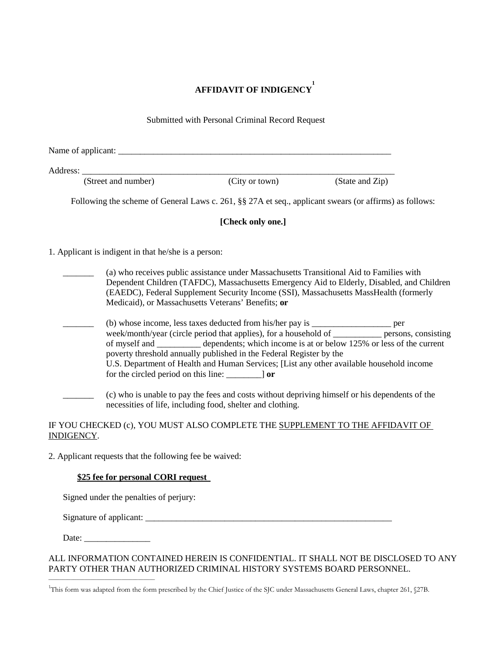# **AFFIDAVIT OF INDIGENCY 1**

|            |                                                      | Submitted with Personal Criminal Record Request                                                                                                            |                                                                                                                                                                                                                                                                                             |  |
|------------|------------------------------------------------------|------------------------------------------------------------------------------------------------------------------------------------------------------------|---------------------------------------------------------------------------------------------------------------------------------------------------------------------------------------------------------------------------------------------------------------------------------------------|--|
|            |                                                      |                                                                                                                                                            |                                                                                                                                                                                                                                                                                             |  |
|            |                                                      |                                                                                                                                                            |                                                                                                                                                                                                                                                                                             |  |
|            | (Street and number)                                  | (City or town)                                                                                                                                             | (State and Zip)                                                                                                                                                                                                                                                                             |  |
|            |                                                      |                                                                                                                                                            | Following the scheme of General Laws c. 261, §§ 27A et seq., applicant swears (or affirms) as follows:                                                                                                                                                                                      |  |
|            |                                                      | [Check only one.]                                                                                                                                          |                                                                                                                                                                                                                                                                                             |  |
|            | 1. Applicant is indigent in that he/she is a person: |                                                                                                                                                            |                                                                                                                                                                                                                                                                                             |  |
|            |                                                      | (a) who receives public assistance under Massachusetts Transitional Aid to Families with<br>Medicaid), or Massachusetts Veterans' Benefits; or             | Dependent Children (TAFDC), Massachusetts Emergency Aid to Elderly, Disabled, and Children<br>(EAEDC), Federal Supplement Security Income (SSI), Massachusetts MassHealth (formerly                                                                                                         |  |
|            | for the circled period on this line: _________] or   | (b) whose income, less taxes deducted from his/her pay is _____________________ per<br>poverty threshold annually published in the Federal Register by the | week/month/year (circle period that applies), for a household of __________ persons, consisting<br>of myself and __________ dependents; which income is at or below 125% or less of the current<br>U.S. Department of Health and Human Services; [List any other available household income |  |
|            |                                                      | necessities of life, including food, shelter and clothing.                                                                                                 | (c) who is unable to pay the fees and costs without depriving himself or his dependents of the                                                                                                                                                                                              |  |
| INDIGENCY. |                                                      |                                                                                                                                                            | IF YOU CHECKED (c), YOU MUST ALSO COMPLETE THE SUPPLEMENT TO THE AFFIDAVIT OF                                                                                                                                                                                                               |  |

2. Applicant requests that the following fee be waived:

### **\$25 fee for personal CORI request**

Signed under the penalties of perjury:

Signature of applicant: \_\_\_\_\_\_\_\_\_\_\_\_\_\_\_\_\_\_\_\_\_\_\_\_\_\_\_\_\_\_\_\_\_\_\_\_\_\_\_\_\_\_\_\_\_\_\_\_\_\_\_\_\_\_\_\_

Date: \_\_\_\_\_\_\_\_\_\_\_\_\_\_\_

\_\_\_\_\_\_\_\_\_\_\_\_\_\_\_\_\_\_\_\_\_\_\_\_\_\_\_\_\_\_\_\_\_\_\_\_\_\_

## ALL INFORMATION CONTAINED HEREIN IS CONFIDENTIAL. IT SHALL NOT BE DISCLOSED TO ANY PARTY OTHER THAN AUTHORIZED CRIMINAL HISTORY SYSTEMS BOARD PERSONNEL.

<sup>&</sup>lt;sup>1</sup>This form was adapted from the form prescribed by the Chief Justice of the SJC under Massachusetts General Laws, chapter 261, §27B.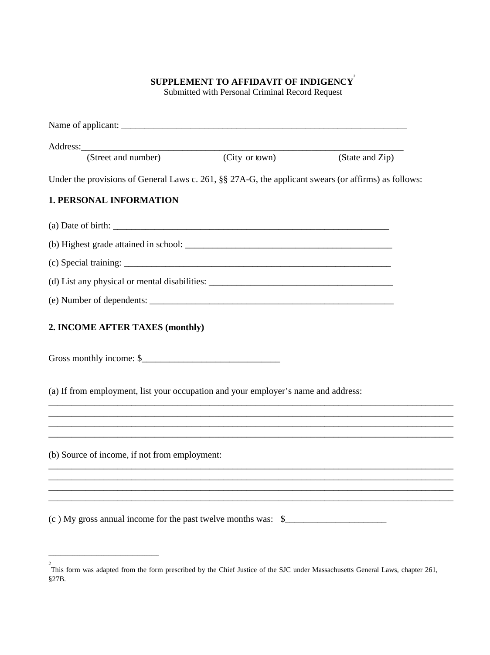# **SUPPLEMENT TO AFFIDAVIT OF INDIGENCY** $^2$

Submitted with Personal Criminal Record Request

| (Street and number)                                                                                  | (City or town) | (State and Zip) |
|------------------------------------------------------------------------------------------------------|----------------|-----------------|
| Under the provisions of General Laws c. 261, §§ 27A-G, the applicant swears (or affirms) as follows: |                |                 |
| <b>1. PERSONAL INFORMATION</b>                                                                       |                |                 |
|                                                                                                      |                |                 |
|                                                                                                      |                |                 |
|                                                                                                      |                |                 |
|                                                                                                      |                |                 |
|                                                                                                      |                |                 |
| 2. INCOME AFTER TAXES (monthly)                                                                      |                |                 |
| Gross monthly income: \$                                                                             |                |                 |
| (a) If from employment, list your occupation and your employer's name and address:                   |                |                 |
| ,我们也不能在这里的人,我们也不能在这里的人,我们也不能在这里的人,我们也不能在这里的人,我们也不能在这里的人,我们也不能在这里的人,我们也不能在这里的人,我们也                    |                |                 |
|                                                                                                      |                |                 |
| (b) Source of income, if not from employment:                                                        |                |                 |
|                                                                                                      |                |                 |
|                                                                                                      |                |                 |
| (c) My gross annual income for the past twelve months was: \$_____________________                   |                |                 |

\_\_\_\_\_\_\_\_\_\_\_\_\_\_\_\_\_\_\_\_\_\_\_\_\_\_\_\_\_\_\_\_\_\_\_\_\_\_\_\_\_\_\_\_\_\_

<sup>&</sup>lt;sup>2</sup><br>This form was adapted from the form prescribed by the Chief Justice of the SJC under Massachusetts General Laws, chapter 261, §27B.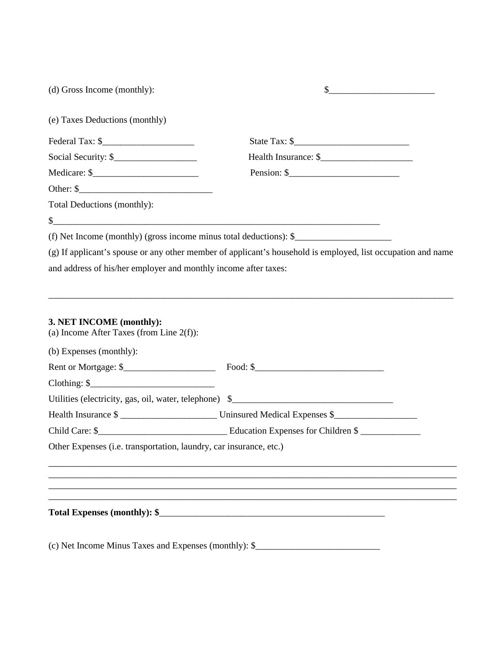| (d) Gross Income (monthly):                                                                        | \$                                                                                                           |
|----------------------------------------------------------------------------------------------------|--------------------------------------------------------------------------------------------------------------|
| (e) Taxes Deductions (monthly)                                                                     |                                                                                                              |
|                                                                                                    |                                                                                                              |
|                                                                                                    |                                                                                                              |
|                                                                                                    | Pension: $\frac{1}{2}$                                                                                       |
|                                                                                                    |                                                                                                              |
| Total Deductions (monthly):                                                                        |                                                                                                              |
|                                                                                                    |                                                                                                              |
| (f) Net Income (monthly) (gross income minus total deductions): \$                                 |                                                                                                              |
|                                                                                                    | (g) If applicant's spouse or any other member of applicant's household is employed, list occupation and name |
| and address of his/her employer and monthly income after taxes:                                    |                                                                                                              |
| 3. NET INCOME (monthly):<br>(a) Income After Taxes (from Line $2(f)$ ):<br>(b) Expenses (monthly): |                                                                                                              |
|                                                                                                    |                                                                                                              |
| Utilities (electricity, gas, oil, water, telephone) \$____________________________                 |                                                                                                              |
|                                                                                                    |                                                                                                              |
|                                                                                                    |                                                                                                              |
| Other Expenses (i.e. transportation, laundry, car insurance, etc.)                                 |                                                                                                              |
|                                                                                                    |                                                                                                              |
|                                                                                                    |                                                                                                              |
|                                                                                                    |                                                                                                              |
| Total Expenses (monthly): \$                                                                       |                                                                                                              |
|                                                                                                    |                                                                                                              |
|                                                                                                    |                                                                                                              |

(c) Net Income Minus Taxes and Expenses (monthly): \$\_\_\_\_\_\_\_\_\_\_\_\_\_\_\_\_\_\_\_\_\_\_\_\_\_\_\_\_\_